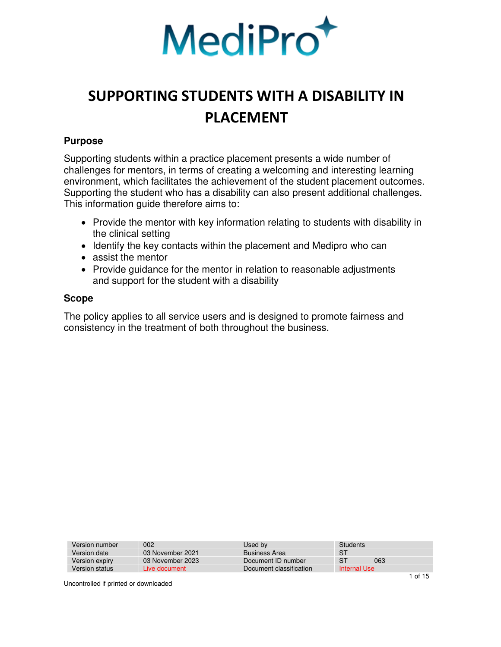

### <span id="page-0-0"></span>**Purpose**

<span id="page-0-1"></span>Supporting students within a practice placement presents a wide number of challenges for mentors, in terms of creating a welcoming and interesting learning environment, which facilitates the achievement of the student placement outcomes. Supporting the student who has a disability can also present additional challenges. This information guide therefore aims to:

- Provide the mentor with key information relating to students with disability in the clinical setting
- Identify the key contacts within the placement and Medipro who can
- assist the mentor
- Provide guidance for the mentor in relation to reasonable adjustments and support for the student with a disability

### **Scope**

The policy applies to all service users and is designed to promote fairness and consistency in the treatment of both throughout the business.

| Version number | 002              | Used by                 | Students     |     |
|----------------|------------------|-------------------------|--------------|-----|
| Version date   | 03 November 2021 | <b>Business Area</b>    | S1           |     |
| Version expiry | 03 November 2023 | Document ID number      | S1           | 063 |
| Version status | Live document    | Document classification | Internal Use |     |
|                |                  |                         |              |     |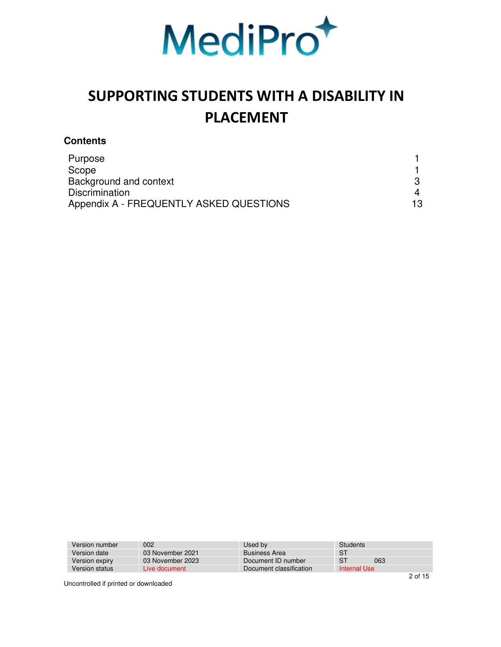

### **Contents**

| Purpose                                 |    |
|-----------------------------------------|----|
| Scope                                   |    |
| Background and context                  |    |
| <b>Discrimination</b>                   |    |
| Appendix A - FREQUENTLY ASKED QUESTIONS | 13 |

| Version number | 002              | Used by                 | Students     |
|----------------|------------------|-------------------------|--------------|
| Version date   | 03 November 2021 | <b>Business Area</b>    | -S1          |
| Version expiry | 03 November 2023 | Document ID number      | S1<br>063    |
| Version status | Live document    | Document classification | Internal Use |
|                |                  |                         |              |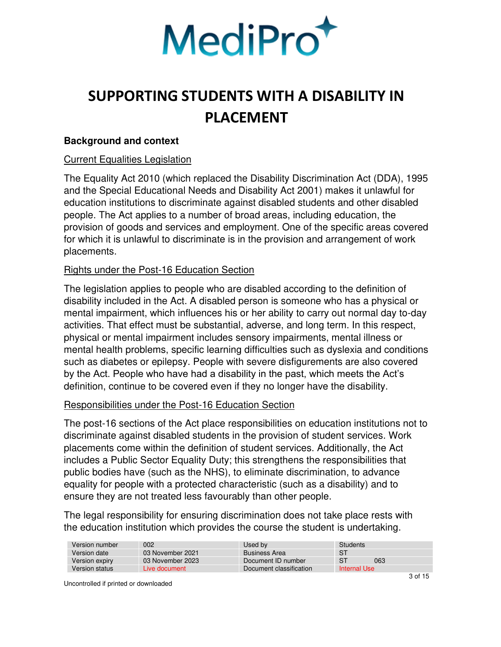

### <span id="page-2-0"></span>**Background and context**

#### Current Equalities Legislation

The Equality Act 2010 (which replaced the Disability Discrimination Act (DDA), 1995 and the Special Educational Needs and Disability Act 2001) makes it unlawful for education institutions to discriminate against disabled students and other disabled people. The Act applies to a number of broad areas, including education, the provision of goods and services and employment. One of the specific areas covered for which it is unlawful to discriminate is in the provision and arrangement of work placements.

### Rights under the Post-16 Education Section

The legislation applies to people who are disabled according to the definition of disability included in the Act. A disabled person is someone who has a physical or mental impairment, which influences his or her ability to carry out normal day to-day activities. That effect must be substantial, adverse, and long term. In this respect, physical or mental impairment includes sensory impairments, mental illness or mental health problems, specific learning difficulties such as dyslexia and conditions such as diabetes or epilepsy. People with severe disfigurements are also covered by the Act. People who have had a disability in the past, which meets the Act's definition, continue to be covered even if they no longer have the disability.

### Responsibilities under the Post-16 Education Section

The post-16 sections of the Act place responsibilities on education institutions not to discriminate against disabled students in the provision of student services. Work placements come within the definition of student services. Additionally, the Act includes a Public Sector Equality Duty; this strengthens the responsibilities that public bodies have (such as the NHS), to eliminate discrimination, to advance equality for people with a protected characteristic (such as a disability) and to ensure they are not treated less favourably than other people.

The legal responsibility for ensuring discrimination does not take place rests with the education institution which provides the course the student is undertaking.

| Version number | 002              | Used by                 | Students     |
|----------------|------------------|-------------------------|--------------|
| Version date   | 03 November 2021 | <b>Business Area</b>    | -ST          |
| Version expiry | 03 November 2023 | Document ID number      | -S1<br>063   |
| Version status | Live document    | Document classification | Internal Use |
|                |                  |                         |              |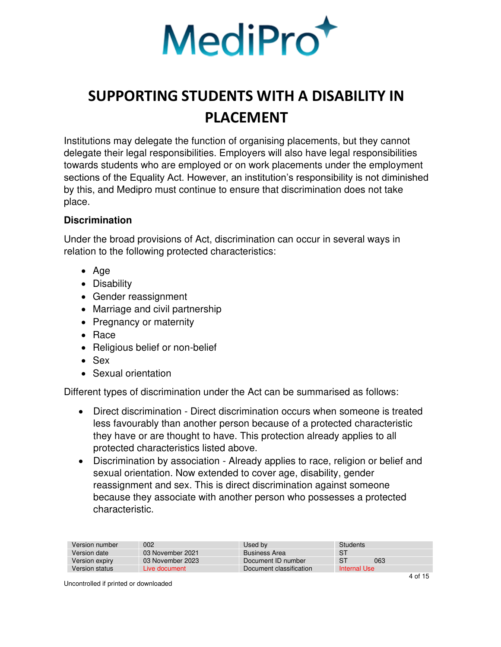

Institutions may delegate the function of organising placements, but they cannot delegate their legal responsibilities. Employers will also have legal responsibilities towards students who are employed or on work placements under the employment sections of the Equality Act. However, an institution's responsibility is not diminished by this, and Medipro must continue to ensure that discrimination does not take place.

### <span id="page-3-0"></span>**Discrimination**

Under the broad provisions of Act, discrimination can occur in several ways in relation to the following protected characteristics:

- Age
- Disability
- Gender reassignment
- Marriage and civil partnership
- Pregnancy or maternity
- Race
- Religious belief or non-belief
- Sex
- Sexual orientation

Different types of discrimination under the Act can be summarised as follows:

- Direct discrimination Direct discrimination occurs when someone is treated less favourably than another person because of a protected characteristic they have or are thought to have. This protection already applies to all protected characteristics listed above.
- Discrimination by association Already applies to race, religion or belief and sexual orientation. Now extended to cover age, disability, gender reassignment and sex. This is direct discrimination against someone because they associate with another person who possesses a protected characteristic.

| Version number | 002              | Used by                 | Students     |
|----------------|------------------|-------------------------|--------------|
| Version date   | 03 November 2021 | <b>Business Area</b>    | S1           |
| Version expiry | 03 November 2023 | Document ID number      | -S1<br>063   |
| Version status | Live document    | Document classification | Internal Use |
|                |                  |                         | .            |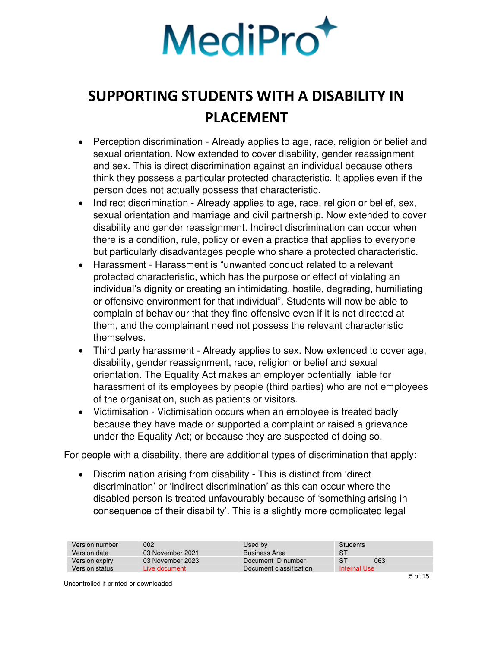

- Perception discrimination Already applies to age, race, religion or belief and sexual orientation. Now extended to cover disability, gender reassignment and sex. This is direct discrimination against an individual because others think they possess a particular protected characteristic. It applies even if the person does not actually possess that characteristic.
- Indirect discrimination Already applies to age, race, religion or belief, sex, sexual orientation and marriage and civil partnership. Now extended to cover disability and gender reassignment. Indirect discrimination can occur when there is a condition, rule, policy or even a practice that applies to everyone but particularly disadvantages people who share a protected characteristic.
- Harassment Harassment is "unwanted conduct related to a relevant protected characteristic, which has the purpose or effect of violating an individual's dignity or creating an intimidating, hostile, degrading, humiliating or offensive environment for that individual". Students will now be able to complain of behaviour that they find offensive even if it is not directed at them, and the complainant need not possess the relevant characteristic themselves.
- Third party harassment Already applies to sex. Now extended to cover age, disability, gender reassignment, race, religion or belief and sexual orientation. The Equality Act makes an employer potentially liable for harassment of its employees by people (third parties) who are not employees of the organisation, such as patients or visitors.
- Victimisation Victimisation occurs when an employee is treated badly because they have made or supported a complaint or raised a grievance under the Equality Act; or because they are suspected of doing so.

For people with a disability, there are additional types of discrimination that apply:

• Discrimination arising from disability - This is distinct from 'direct discrimination' or 'indirect discrimination' as this can occur where the disabled person is treated unfavourably because of 'something arising in consequence of their disability'. This is a slightly more complicated legal

| Version number | 002              | Used by                 | Students       |     |
|----------------|------------------|-------------------------|----------------|-----|
| Version date   | 03 November 2021 | <b>Business Area</b>    | -ST            |     |
| Version expiry | 03 November 2023 | Document ID number      | S <sup>T</sup> | 063 |
| Version status | Live document    | Document classification | Internal Use   |     |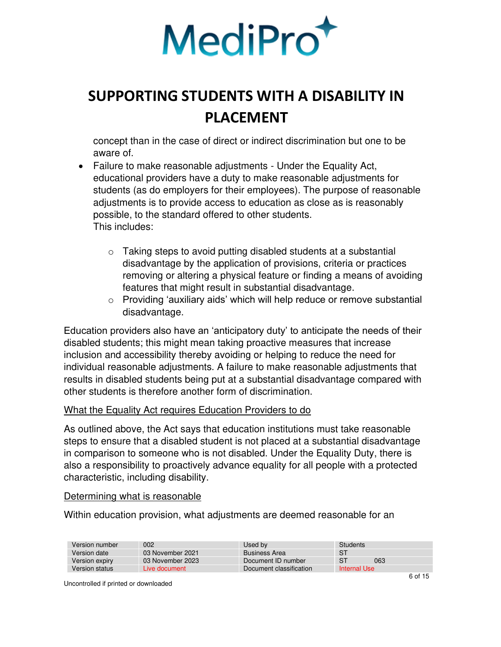

concept than in the case of direct or indirect discrimination but one to be aware of.

- Failure to make reasonable adjustments Under the Equality Act, educational providers have a duty to make reasonable adjustments for students (as do employers for their employees). The purpose of reasonable adjustments is to provide access to education as close as is reasonably possible, to the standard offered to other students. This includes:
	- $\circ$  Taking steps to avoid putting disabled students at a substantial disadvantage by the application of provisions, criteria or practices removing or altering a physical feature or finding a means of avoiding features that might result in substantial disadvantage.
	- $\circ$  Providing 'auxiliary aids' which will help reduce or remove substantial disadvantage.

Education providers also have an 'anticipatory duty' to anticipate the needs of their disabled students; this might mean taking proactive measures that increase inclusion and accessibility thereby avoiding or helping to reduce the need for individual reasonable adjustments. A failure to make reasonable adjustments that results in disabled students being put at a substantial disadvantage compared with other students is therefore another form of discrimination.

#### What the Equality Act requires Education Providers to do

As outlined above, the Act says that education institutions must take reasonable steps to ensure that a disabled student is not placed at a substantial disadvantage in comparison to someone who is not disabled. Under the Equality Duty, there is also a responsibility to proactively advance equality for all people with a protected characteristic, including disability.

#### Determining what is reasonable

Within education provision, what adjustments are deemed reasonable for an

| Version number | 002              | Used by                 | Students     |                      |
|----------------|------------------|-------------------------|--------------|----------------------|
| Version date   | 03 November 2021 | <b>Business Area</b>    | S1           |                      |
| Version expiry | 03 November 2023 | Document ID number      | S1<br>063    |                      |
| Version status | Live document    | Document classification | Internal Use |                      |
|                |                  |                         |              | $\sim$ $\sim$ $\sim$ |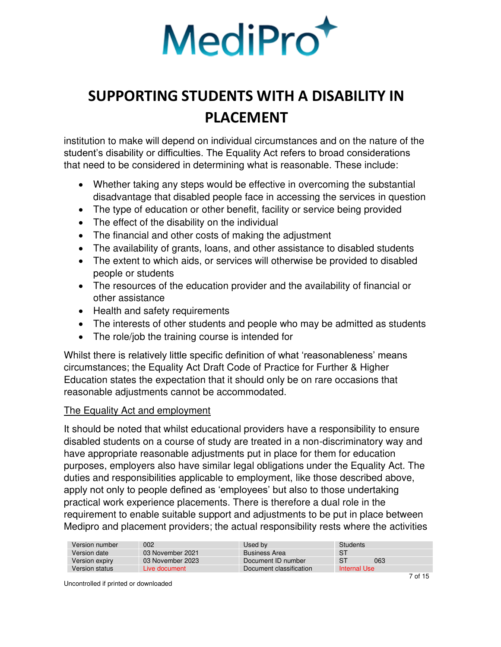

institution to make will depend on individual circumstances and on the nature of the student's disability or difficulties. The Equality Act refers to broad considerations that need to be considered in determining what is reasonable. These include:

- Whether taking any steps would be effective in overcoming the substantial disadvantage that disabled people face in accessing the services in question
- The type of education or other benefit, facility or service being provided
- The effect of the disability on the individual
- The financial and other costs of making the adjustment
- The availability of grants, loans, and other assistance to disabled students
- The extent to which aids, or services will otherwise be provided to disabled people or students
- The resources of the education provider and the availability of financial or other assistance
- Health and safety requirements
- The interests of other students and people who may be admitted as students
- The role/job the training course is intended for

Whilst there is relatively little specific definition of what 'reasonableness' means circumstances; the Equality Act Draft Code of Practice for Further & Higher Education states the expectation that it should only be on rare occasions that reasonable adjustments cannot be accommodated.

### The Equality Act and employment

It should be noted that whilst educational providers have a responsibility to ensure disabled students on a course of study are treated in a non-discriminatory way and have appropriate reasonable adjustments put in place for them for education purposes, employers also have similar legal obligations under the Equality Act. The duties and responsibilities applicable to employment, like those described above, apply not only to people defined as 'employees' but also to those undertaking practical work experience placements. There is therefore a dual role in the requirement to enable suitable support and adjustments to be put in place between Medipro and placement providers; the actual responsibility rests where the activities

| Version number | 002              | Used bv                 | Students     |
|----------------|------------------|-------------------------|--------------|
| Version date   | 03 November 2021 | <b>Business Area</b>    | -S1          |
| Version expiry | 03 November 2023 | Document ID number      | S1<br>063    |
| Version status | Live document    | Document classification | Internal Use |
|                |                  |                         |              |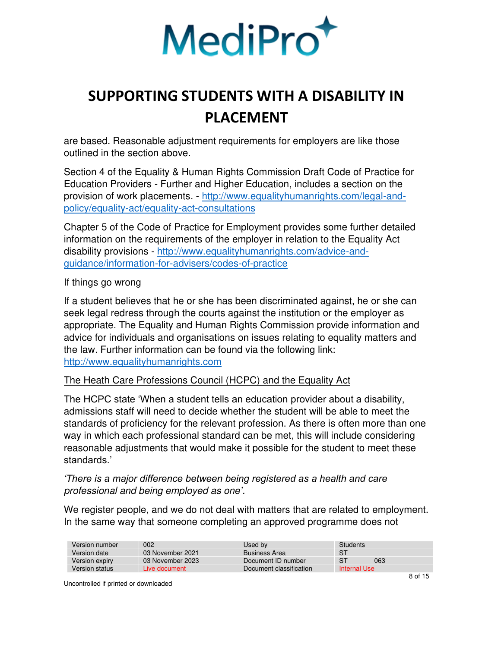

are based. Reasonable adjustment requirements for employers are like those outlined in the section above.

Section 4 of the Equality & Human Rights Commission Draft Code of Practice for Education Providers - Further and Higher Education, includes a section on the provision of work placements. - [http://www.equalityhumanrights.com/legal-and](http://www.equalityhumanrights.com/legal-and-policy/equality-act/equality-act-consultations)[policy/equality-act/equality-act-consultations](http://www.equalityhumanrights.com/legal-and-policy/equality-act/equality-act-consultations)

Chapter 5 of the Code of Practice for Employment provides some further detailed information on the requirements of the employer in relation to the Equality Act disability provisions - [http://www.equalityhumanrights.com/advice-and](http://www.equalityhumanrights.com/advice-and-guidance/information-for-advisers/codes-of-practice)[guidance/information-for-advisers/codes-of-practice](http://www.equalityhumanrights.com/advice-and-guidance/information-for-advisers/codes-of-practice)

#### If things go wrong

If a student believes that he or she has been discriminated against, he or she can seek legal redress through the courts against the institution or the employer as appropriate. The Equality and Human Rights Commission provide information and advice for individuals and organisations on issues relating to equality matters and the law. Further information can be found via the following link: [http://www.equalityhumanrights.com](http://www.equalityhumanrights.com/)

### The Heath Care Professions Council (HCPC) and the Equality Act

The HCPC state 'When a student tells an education provider about a disability, admissions staff will need to decide whether the student will be able to meet the standards of proficiency for the relevant profession. As there is often more than one way in which each professional standard can be met, this will include considering reasonable adjustments that would make it possible for the student to meet these standards.'

*'There is a major difference between being registered as a health and care*  professional and being employed as one*'*.

We register people, and we do not deal with matters that are related to employment. In the same way that someone completing an approved programme does not

| Version number | 002              | Used by                 | Students       |  |
|----------------|------------------|-------------------------|----------------|--|
| Version date   | 03 November 2021 | <b>Business Area</b>    | S <sub>1</sub> |  |
| Version expiry | 03 November 2023 | Document ID number      | S1<br>063      |  |
| Version status | Live document    | Document classification | Internal Use   |  |
|                |                  |                         | - - - -        |  |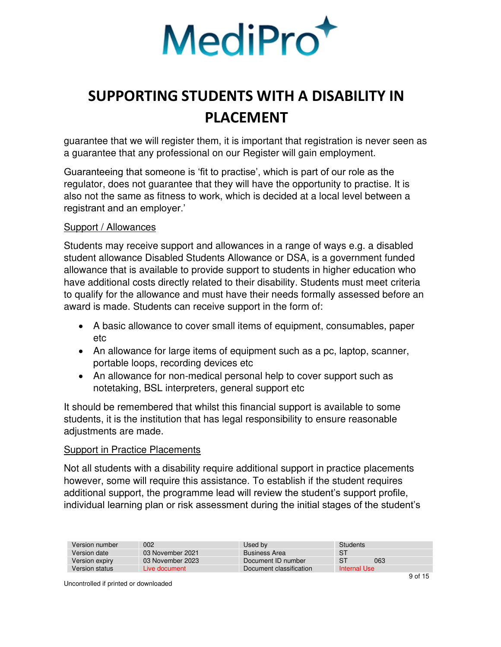

guarantee that we will register them, it is important that registration is never seen as a guarantee that any professional on our Register will gain employment.

Guaranteeing that someone is 'fit to practise', which is part of our role as the regulator, does not guarantee that they will have the opportunity to practise. It is also not the same as fitness to work, which is decided at a local level between a registrant and an employer.'

#### Support / Allowances

Students may receive support and allowances in a range of ways e.g. a disabled student allowance Disabled Students Allowance or DSA, is a government funded allowance that is available to provide support to students in higher education who have additional costs directly related to their disability. Students must meet criteria to qualify for the allowance and must have their needs formally assessed before an award is made. Students can receive support in the form of:

- A basic allowance to cover small items of equipment, consumables, paper etc
- An allowance for large items of equipment such as a pc, laptop, scanner, portable loops, recording devices etc
- An allowance for non-medical personal help to cover support such as notetaking, BSL interpreters, general support etc

It should be remembered that whilst this financial support is available to some students, it is the institution that has legal responsibility to ensure reasonable adjustments are made.

#### Support in Practice Placements

Not all students with a disability require additional support in practice placements however, some will require this assistance. To establish if the student requires additional support, the programme lead will review the student's support profile, individual learning plan or risk assessment during the initial stages of the student's

| Version number | 002              | Used by                 | Students     |
|----------------|------------------|-------------------------|--------------|
| Version date   | 03 November 2021 | <b>Business Area</b>    | -S1          |
| Version expiry | 03 November 2023 | Document ID number      | S1<br>063    |
| Version status | Live document    | Document classification | Internal Use |
|                |                  |                         | - - - -      |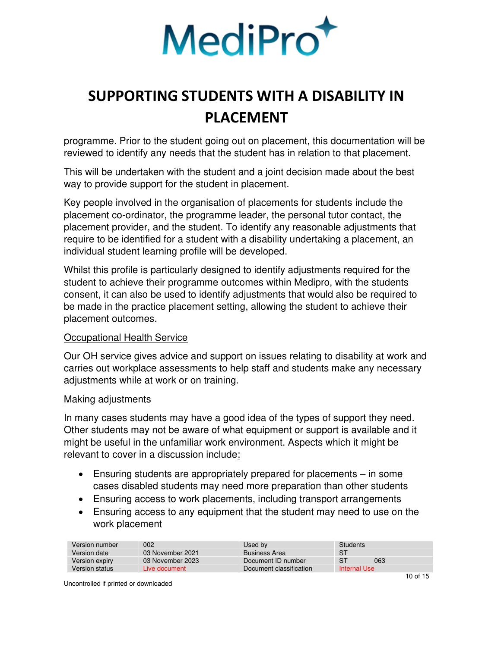

programme. Prior to the student going out on placement, this documentation will be reviewed to identify any needs that the student has in relation to that placement.

This will be undertaken with the student and a joint decision made about the best way to provide support for the student in placement.

Key people involved in the organisation of placements for students include the placement co-ordinator, the programme leader, the personal tutor contact, the placement provider, and the student. To identify any reasonable adjustments that require to be identified for a student with a disability undertaking a placement, an individual student learning profile will be developed.

Whilst this profile is particularly designed to identify adjustments required for the student to achieve their programme outcomes within Medipro, with the students consent, it can also be used to identify adjustments that would also be required to be made in the practice placement setting, allowing the student to achieve their placement outcomes.

### Occupational Health Service

Our OH service gives advice and support on issues relating to disability at work and carries out workplace assessments to help staff and students make any necessary adjustments while at work or on training.

#### Making adjustments

In many cases students may have a good idea of the types of support they need. Other students may not be aware of what equipment or support is available and it might be useful in the unfamiliar work environment. Aspects which it might be relevant to cover in a discussion include:

- Ensuring students are appropriately prepared for placements in some cases disabled students may need more preparation than other students
- Ensuring access to work placements, including transport arrangements
- Ensuring access to any equipment that the student may need to use on the work placement

| Version number | 002              | Used by                 | Students     |   |
|----------------|------------------|-------------------------|--------------|---|
| Version date   | 03 November 2021 | <b>Business Area</b>    | S1           |   |
| Version expiry | 03 November 2023 | Document ID number      | -ST<br>063   |   |
| Version status | Live document    | Document classification | Internal Use |   |
|                |                  |                         |              | . |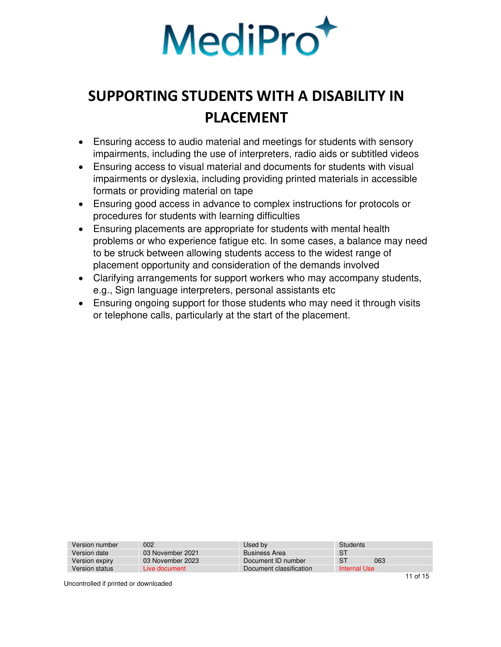

- Ensuring access to audio material and meetings for students with sensory impairments, including the use of interpreters, radio aids or subtitled videos
- Ensuring access to visual material and documents for students with visual impairments or dyslexia, including providing printed materials in accessible formats or providing material on tape
- Ensuring good access in advance to complex instructions for protocols or procedures for students with learning difficulties
- Ensuring placements are appropriate for students with mental health problems or who experience fatigue etc. In some cases, a balance may need to be struck between allowing students access to the widest range of placement opportunity and consideration of the demands involved
- Clarifying arrangements for support workers who may accompany students, e.g., Sign language interpreters, personal assistants etc
- Ensuring ongoing support for those students who may need it through visits or telephone calls, particularly at the start of the placement.

| Version number | 002              | Used by                 | <b>Students</b>       |
|----------------|------------------|-------------------------|-----------------------|
| Version date   | 03 November 2021 | <b>Business Area</b>    | S1                    |
| Version expiry | 03 November 2023 | Document ID number      | S <sub>1</sub><br>063 |
| Version status | Live document    | Document classification | Internal Use          |
|                |                  |                         |                       |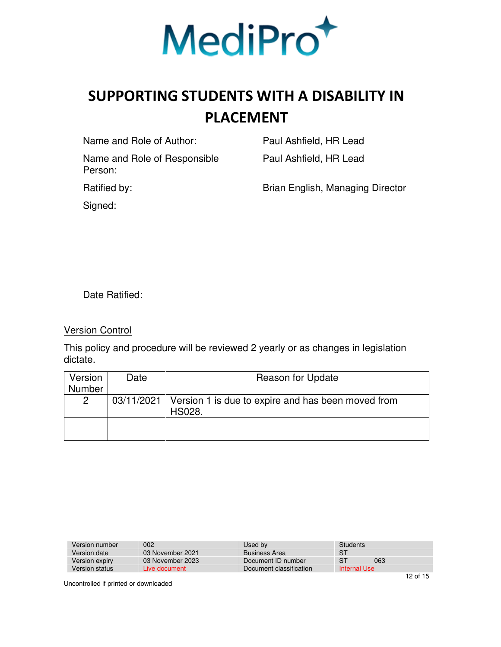

Name and Role of Author: Paul Ashfield, HR Lead

Name and Role of Responsible Person:

Paul Ashfield, HR Lead

Ratified by: **Brian English, Managing Director** 

Signed:

Date Ratified:

Version Control

This policy and procedure will be reviewed 2 yearly or as changes in legislation dictate.

| Version               | Date | <b>Reason for Update</b>                                                  |
|-----------------------|------|---------------------------------------------------------------------------|
| <b>Number</b>         |      |                                                                           |
| $\mathbf{2}^{\prime}$ |      | 03/11/2021   Version 1 is due to expire and has been moved from<br>HS028. |
|                       |      |                                                                           |

| Version number | 002              | Used by                 | Students     |     |
|----------------|------------------|-------------------------|--------------|-----|
| Version date   | 03 November 2021 | <b>Business Area</b>    | S1           |     |
| Version expiry | 03 November 2023 | Document ID number      | -ST          | 063 |
| Version status | Live document    | Document classification | Internal Use |     |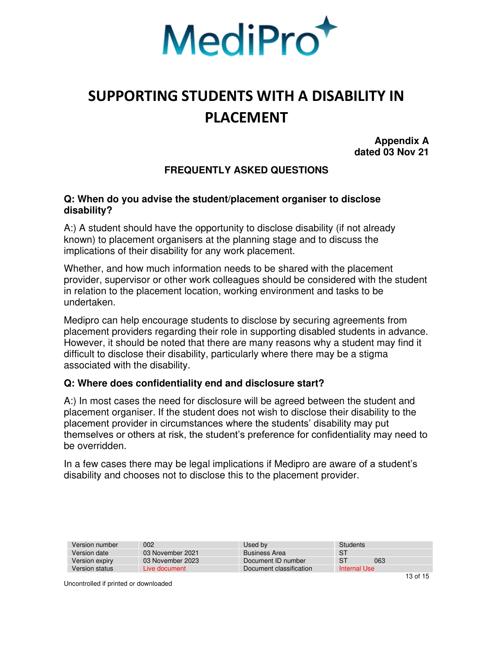

**Appendix A dated 03 Nov 21** 

### **FREQUENTLY ASKED QUESTIONS**

#### <span id="page-12-0"></span>**Q: When do you advise the student/placement organiser to disclose disability?**

A:) A student should have the opportunity to disclose disability (if not already known) to placement organisers at the planning stage and to discuss the implications of their disability for any work placement.

Whether, and how much information needs to be shared with the placement provider, supervisor or other work colleagues should be considered with the student in relation to the placement location, working environment and tasks to be undertaken.

Medipro can help encourage students to disclose by securing agreements from placement providers regarding their role in supporting disabled students in advance. However, it should be noted that there are many reasons why a student may find it difficult to disclose their disability, particularly where there may be a stigma associated with the disability.

### **Q: Where does confidentiality end and disclosure start?**

A:) In most cases the need for disclosure will be agreed between the student and placement organiser. If the student does not wish to disclose their disability to the placement provider in circumstances where the students' disability may put themselves or others at risk, the student's preference for confidentiality may need to be overridden.

In a few cases there may be legal implications if Medipro are aware of a student's disability and chooses not to disclose this to the placement provider.

| 002              | Used by                 | Students              |  |
|------------------|-------------------------|-----------------------|--|
| 03 November 2021 | <b>Business Area</b>    | S <sub>1</sub>        |  |
| 03 November 2023 | Document ID number      | S <sub>1</sub><br>063 |  |
| Live document    | Document classification | Internal Use          |  |
|                  |                         |                       |  |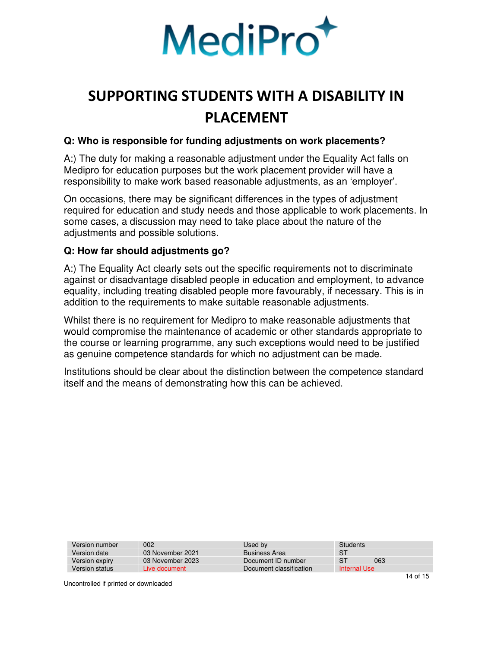

### **Q: Who is responsible for funding adjustments on work placements?**

A:) The duty for making a reasonable adjustment under the Equality Act falls on Medipro for education purposes but the work placement provider will have a responsibility to make work based reasonable adjustments, as an 'employer'.

On occasions, there may be significant differences in the types of adjustment required for education and study needs and those applicable to work placements. In some cases, a discussion may need to take place about the nature of the adjustments and possible solutions.

### **Q: How far should adjustments go?**

A:) The Equality Act clearly sets out the specific requirements not to discriminate against or disadvantage disabled people in education and employment, to advance equality, including treating disabled people more favourably, if necessary. This is in addition to the requirements to make suitable reasonable adjustments.

Whilst there is no requirement for Medipro to make reasonable adjustments that would compromise the maintenance of academic or other standards appropriate to the course or learning programme, any such exceptions would need to be justified as genuine competence standards for which no adjustment can be made.

Institutions should be clear about the distinction between the competence standard itself and the means of demonstrating how this can be achieved.

| Version number | 002              | Used by                 | Students     |     |   |
|----------------|------------------|-------------------------|--------------|-----|---|
| Version date   | 03 November 2021 | <b>Business Area</b>    | S1           |     |   |
| Version expiry | 03 November 2023 | Document ID number      | -ST          | 063 |   |
| Version status | Live document    | Document classification | Internal Use |     |   |
|                |                  |                         |              |     | . |